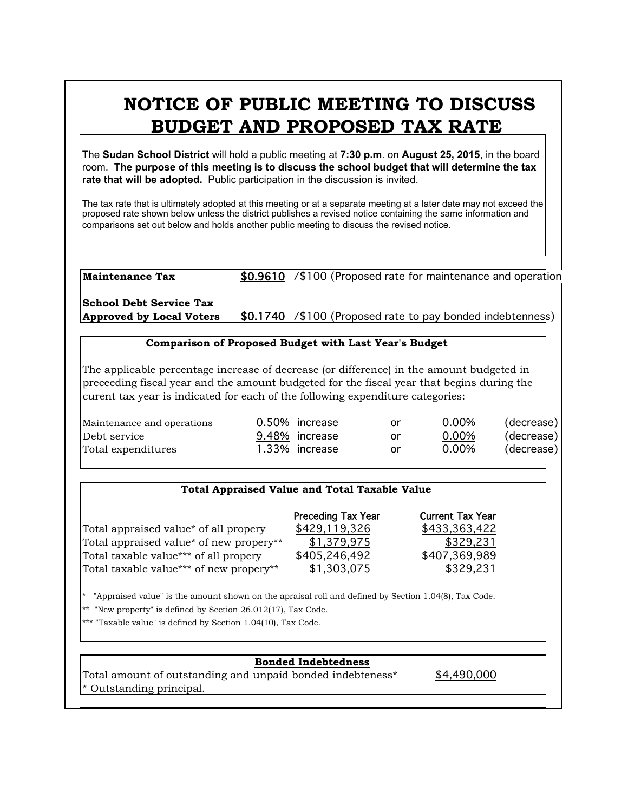# **NOTICE OF PUBLIC MEETING TO DISCUSS BUDGET AND PROPOSED TAX RATE**

The **Sudan School District** will hold a public meeting at **7:30 p.m**. on **August 25, 2015**, in the board room. **The purpose of this meeting is to discuss the school budget that will determine the tax rate that will be adopted.** Public participation in the discussion is invited.

The tax rate that is ultimately adopted at this meeting or at a separate meeting at a later date may not exceed the proposed rate shown below unless the district publishes a revised notice containing the same information and comparisons set out below and holds another public meeting to discuss the revised notice.

**Maintenance Tax** \$0.9610 /\$100 (Proposed rate for maintenance and operation

**School Debt Service Tax Approved by Local Voters** \$0.1740 /\$100 (Proposed rate to pay bonded indebtenness)

#### **Comparison of Proposed Budget with Last Year's Budget**

The applicable percentage increase of decrease (or difference) in the amount budgeted in preceeding fiscal year and the amount budgeted for the fiscal year that begins during the curent tax year is indicated for each of the following expenditure categories:

| Maintenance and operations | 0.50% increase | or | 0.00% | (decrease) |
|----------------------------|----------------|----|-------|------------|
| Debt service               | 9.48% increase | or | 0.00% | (decrease) |
| Total expenditures         | 1.33% increase | or | 0.00% | (decrease) |

## **Total Appraised Value and Total Taxable Value**

|                                                   | <b>Preceding Tax Year</b> | <b>Current Tax Year</b> |
|---------------------------------------------------|---------------------------|-------------------------|
| Total appraised value <sup>*</sup> of all propery | \$429,119,326             | \$433,363,422           |
| Total appraised value* of new propery**           | \$1,379,975               | \$329,231               |
| Total taxable value*** of all propery             | \$405,246,492             | \$407,369,989           |
| Total taxable value*** of new propery**           | \$1,303,075               | \$329,231               |
|                                                   |                           |                         |

\* "Appraised value" is the amount shown on the apraisal roll and defined by Section 1.04(8), Tax Code.

\*\* "New property" is defined by Section 26.012(17), Tax Code.

\*\*\* "Taxable value" is defined by Section 1.04(10), Tax Code.

## **Bonded Indebtedness**

Total amount of outstanding and unpaid bonded indebteness\* \$4,490,000 \* Outstanding principal.